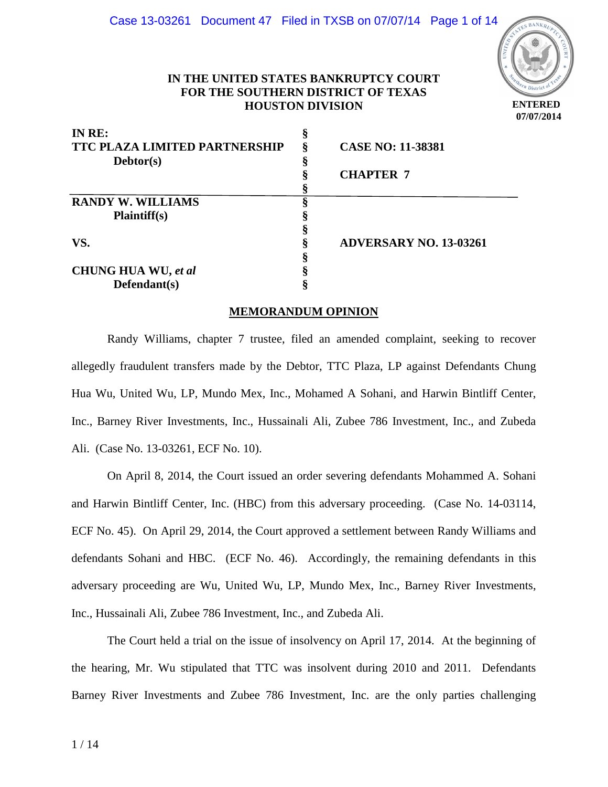

# **IN THE UNITED STATES BANKRUPTCY COURT FOR THE SOUTHERN DISTRICT OF TEXAS HOUSTON DIVISION**

| IN RE:                               | \$ |                               |
|--------------------------------------|----|-------------------------------|
| <b>TTC PLAZA LIMITED PARTNERSHIP</b> | ş  | <b>CASE NO: 11-38381</b>      |
| Debtor(s)                            |    |                               |
|                                      |    | <b>CHAPTER 7</b>              |
|                                      |    |                               |
| <b>RANDY W. WILLIAMS</b>             |    |                               |
| <b>Plaintiff(s)</b>                  |    |                               |
|                                      |    |                               |
| VS.                                  |    | <b>ADVERSARY NO. 13-03261</b> |
|                                      |    |                               |
| <b>CHUNG HUA WU, et al</b>           |    |                               |
| $Defendant(s)$                       |    |                               |

## **MEMORANDUM OPINION**

Randy Williams, chapter 7 trustee, filed an amended complaint, seeking to recover allegedly fraudulent transfers made by the Debtor, TTC Plaza, LP against Defendants Chung Hua Wu, United Wu, LP, Mundo Mex, Inc., Mohamed A Sohani, and Harwin Bintliff Center, Inc., Barney River Investments, Inc., Hussainali Ali, Zubee 786 Investment, Inc., and Zubeda Ali. (Case No. 13-03261, ECF No. 10).

On April 8, 2014, the Court issued an order severing defendants Mohammed A. Sohani and Harwin Bintliff Center, Inc. (HBC) from this adversary proceeding. (Case No. 14-03114, ECF No. 45). On April 29, 2014, the Court approved a settlement between Randy Williams and defendants Sohani and HBC. (ECF No. 46). Accordingly, the remaining defendants in this adversary proceeding are Wu, United Wu, LP, Mundo Mex, Inc., Barney River Investments, Inc., Hussainali Ali, Zubee 786 Investment, Inc., and Zubeda Ali.

The Court held a trial on the issue of insolvency on April 17, 2014. At the beginning of the hearing, Mr. Wu stipulated that TTC was insolvent during 2010 and 2011. Defendants Barney River Investments and Zubee 786 Investment, Inc. are the only parties challenging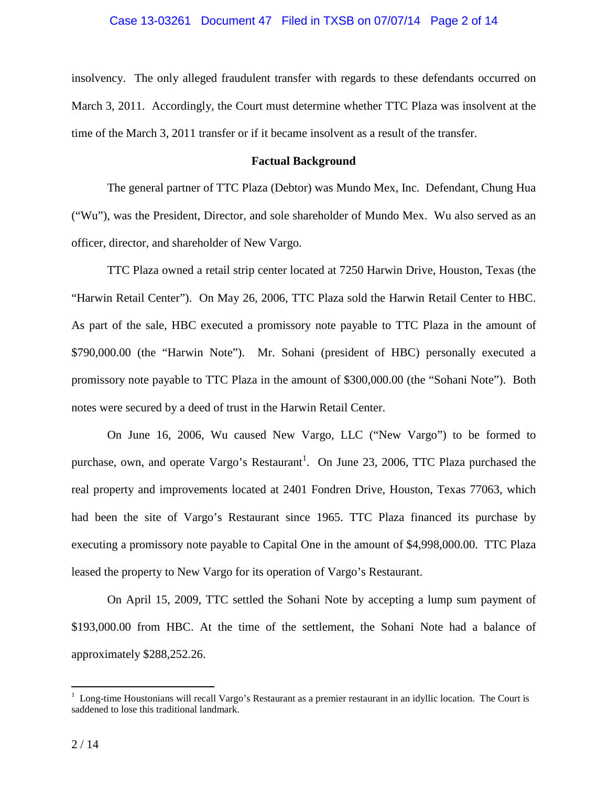#### Case 13-03261 Document 47 Filed in TXSB on 07/07/14 Page 2 of 14

insolvency. The only alleged fraudulent transfer with regards to these defendants occurred on March 3, 2011. Accordingly, the Court must determine whether TTC Plaza was insolvent at the time of the March 3, 2011 transfer or if it became insolvent as a result of the transfer.

### **Factual Background**

 The general partner of TTC Plaza (Debtor) was Mundo Mex, Inc. Defendant, Chung Hua ("Wu"), was the President, Director, and sole shareholder of Mundo Mex. Wu also served as an officer, director, and shareholder of New Vargo.

TTC Plaza owned a retail strip center located at 7250 Harwin Drive, Houston, Texas (the "Harwin Retail Center"). On May 26, 2006, TTC Plaza sold the Harwin Retail Center to HBC. As part of the sale, HBC executed a promissory note payable to TTC Plaza in the amount of \$790,000.00 (the "Harwin Note"). Mr. Sohani (president of HBC) personally executed a promissory note payable to TTC Plaza in the amount of \$300,000.00 (the "Sohani Note"). Both notes were secured by a deed of trust in the Harwin Retail Center.

On June 16, 2006, Wu caused New Vargo, LLC ("New Vargo") to be formed to purchase, own, and operate Vargo's Restaurant<sup>1</sup>. On June 23, 2006, TTC Plaza purchased the real property and improvements located at 2401 Fondren Drive, Houston, Texas 77063, which had been the site of Vargo's Restaurant since 1965. TTC Plaza financed its purchase by executing a promissory note payable to Capital One in the amount of \$4,998,000.00. TTC Plaza leased the property to New Vargo for its operation of Vargo's Restaurant.

On April 15, 2009, TTC settled the Sohani Note by accepting a lump sum payment of \$193,000.00 from HBC. At the time of the settlement, the Sohani Note had a balance of approximately \$288,252.26.

<sup>1&</sup>lt;br><sup>1</sup> Long-time Houstonians will recall Vargo's Restaurant as a premier restaurant in an idyllic location. The Court is saddened to lose this traditional landmark.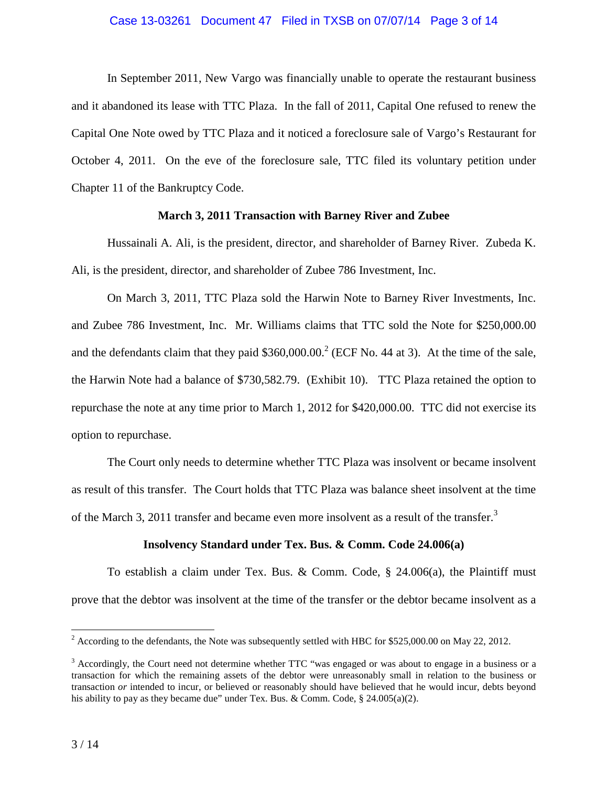## Case 13-03261 Document 47 Filed in TXSB on 07/07/14 Page 3 of 14

In September 2011, New Vargo was financially unable to operate the restaurant business and it abandoned its lease with TTC Plaza. In the fall of 2011, Capital One refused to renew the Capital One Note owed by TTC Plaza and it noticed a foreclosure sale of Vargo's Restaurant for October 4, 2011. On the eve of the foreclosure sale, TTC filed its voluntary petition under Chapter 11 of the Bankruptcy Code.

## **March 3, 2011 Transaction with Barney River and Zubee**

Hussainali A. Ali, is the president, director, and shareholder of Barney River. Zubeda K. Ali, is the president, director, and shareholder of Zubee 786 Investment, Inc.

On March 3, 2011, TTC Plaza sold the Harwin Note to Barney River Investments, Inc. and Zubee 786 Investment, Inc. Mr. Williams claims that TTC sold the Note for \$250,000.00 and the defendants claim that they paid  $$360,000.00$ .<sup>2</sup> (ECF No. 44 at 3). At the time of the sale, the Harwin Note had a balance of \$730,582.79. (Exhibit 10). TTC Plaza retained the option to repurchase the note at any time prior to March 1, 2012 for \$420,000.00. TTC did not exercise its option to repurchase.

The Court only needs to determine whether TTC Plaza was insolvent or became insolvent as result of this transfer. The Court holds that TTC Plaza was balance sheet insolvent at the time of the March 3, 2011 transfer and became even more insolvent as a result of the transfer.<sup>3</sup>

## **Insolvency Standard under Tex. Bus. & Comm. Code 24.006(a)**

To establish a claim under Tex. Bus. & Comm. Code, § 24.006(a), the Plaintiff must prove that the debtor was insolvent at the time of the transfer or the debtor became insolvent as a

 $\overline{a}$ 

<sup>&</sup>lt;sup>2</sup> According to the defendants, the Note was subsequently settled with HBC for \$525,000.00 on May 22, 2012.

 $3$  Accordingly, the Court need not determine whether TTC "was engaged or was about to engage in a business or a transaction for which the remaining assets of the debtor were unreasonably small in relation to the business or transaction *or* intended to incur, or believed or reasonably should have believed that he would incur, debts beyond his ability to pay as they became due" under Tex. Bus. & Comm. Code,  $\S$  24.005(a)(2).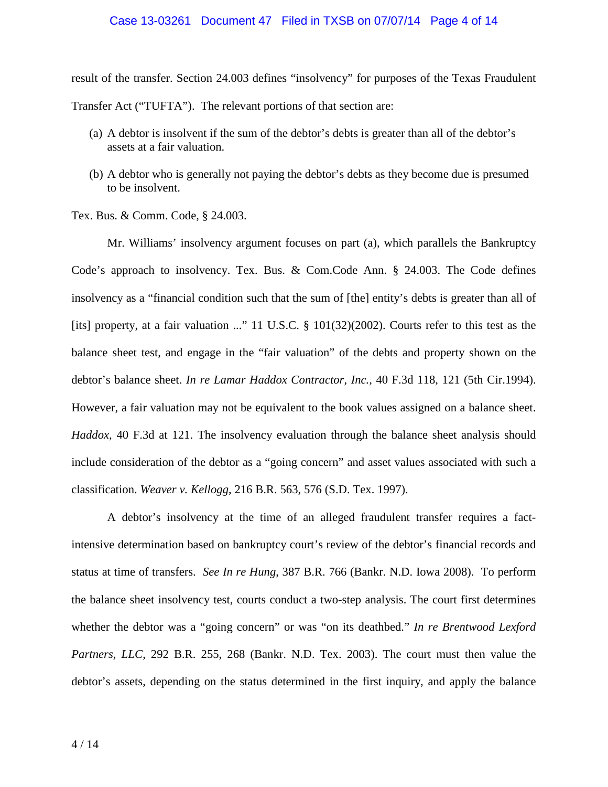## Case 13-03261 Document 47 Filed in TXSB on 07/07/14 Page 4 of 14

result of the transfer. Section 24.003 defines "insolvency" for purposes of the Texas Fraudulent Transfer Act ("TUFTA"). The relevant portions of that section are:

- (a) A debtor is insolvent if the sum of the debtor's debts is greater than all of the debtor's assets at a fair valuation.
- (b) A debtor who is generally not paying the debtor's debts as they become due is presumed to be insolvent.

Tex. Bus. & Comm. Code, § 24.003.

Mr. Williams' insolvency argument focuses on part (a), which parallels the Bankruptcy Code's approach to insolvency. Tex. Bus. & Com.Code Ann. § 24.003. The Code defines insolvency as a "financial condition such that the sum of [the] entity's debts is greater than all of [its] property, at a fair valuation ..." 11 U.S.C. § 101(32)(2002). Courts refer to this test as the balance sheet test, and engage in the "fair valuation" of the debts and property shown on the debtor's balance sheet. *In re Lamar Haddox Contractor, Inc.,* 40 F.3d 118, 121 (5th Cir.1994). However, a fair valuation may not be equivalent to the book values assigned on a balance sheet. *Haddox,* 40 F.3d at 121. The insolvency evaluation through the balance sheet analysis should include consideration of the debtor as a "going concern" and asset values associated with such a classification. *Weaver v. Kellogg*, 216 B.R. 563, 576 (S.D. Tex. 1997).

A debtor's insolvency at the time of an alleged fraudulent transfer requires a factintensive determination based on bankruptcy court's review of the debtor's financial records and status at time of transfers. *See In re Hung*, 387 B.R. 766 (Bankr. N.D. Iowa 2008). To perform the balance sheet insolvency test, courts conduct a two-step analysis. The court first determines whether the debtor was a "going concern" or was "on its deathbed." *In re Brentwood Lexford Partners, LLC*, 292 B.R. 255, 268 (Bankr. N.D. Tex. 2003). The court must then value the debtor's assets, depending on the status determined in the first inquiry, and apply the balance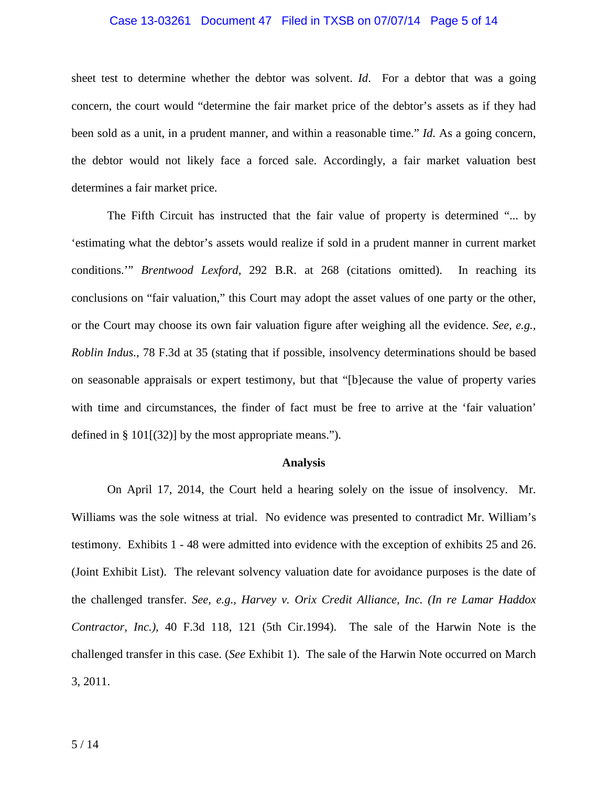## Case 13-03261 Document 47 Filed in TXSB on 07/07/14 Page 5 of 14

sheet test to determine whether the debtor was solvent. *Id*. For a debtor that was a going concern, the court would "determine the fair market price of the debtor's assets as if they had been sold as a unit, in a prudent manner, and within a reasonable time." *Id*. As a going concern, the debtor would not likely face a forced sale. Accordingly, a fair market valuation best determines a fair market price.

The Fifth Circuit has instructed that the fair value of property is determined "... by 'estimating what the debtor's assets would realize if sold in a prudent manner in current market conditions.'" *Brentwood Lexford,* 292 B.R. at 268 (citations omitted). In reaching its conclusions on "fair valuation," this Court may adopt the asset values of one party or the other, or the Court may choose its own fair valuation figure after weighing all the evidence. *See, e.g., Roblin Indus.,* 78 F.3d at 35 (stating that if possible, insolvency determinations should be based on seasonable appraisals or expert testimony, but that "[b]ecause the value of property varies with time and circumstances, the finder of fact must be free to arrive at the 'fair valuation' defined in § 101 $[(32)]$  by the most appropriate means.").

## **Analysis**

On April 17, 2014, the Court held a hearing solely on the issue of insolvency. Mr. Williams was the sole witness at trial. No evidence was presented to contradict Mr. William's testimony. Exhibits 1 - 48 were admitted into evidence with the exception of exhibits 25 and 26. (Joint Exhibit List). The relevant solvency valuation date for avoidance purposes is the date of the challenged transfer. *See, e.g., Harvey v. Orix Credit Alliance, Inc. (In re Lamar Haddox Contractor, Inc.),* 40 F.3d 118, 121 (5th Cir.1994). The sale of the Harwin Note is the challenged transfer in this case. (*See* Exhibit 1). The sale of the Harwin Note occurred on March 3, 2011.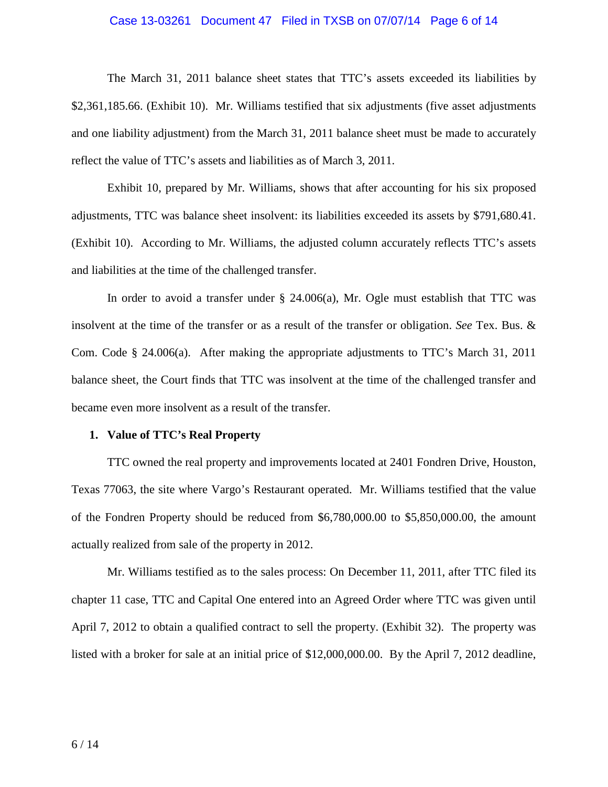#### Case 13-03261 Document 47 Filed in TXSB on 07/07/14 Page 6 of 14

The March 31, 2011 balance sheet states that TTC's assets exceeded its liabilities by \$2,361,185.66. (Exhibit 10). Mr. Williams testified that six adjustments (five asset adjustments and one liability adjustment) from the March 31, 2011 balance sheet must be made to accurately reflect the value of TTC's assets and liabilities as of March 3, 2011.

Exhibit 10, prepared by Mr. Williams, shows that after accounting for his six proposed adjustments, TTC was balance sheet insolvent: its liabilities exceeded its assets by \$791,680.41. (Exhibit 10). According to Mr. Williams, the adjusted column accurately reflects TTC's assets and liabilities at the time of the challenged transfer.

In order to avoid a transfer under  $\S$  24.006(a), Mr. Ogle must establish that TTC was insolvent at the time of the transfer or as a result of the transfer or obligation. *See* Tex. Bus. & Com. Code § 24.006(a). After making the appropriate adjustments to TTC's March 31, 2011 balance sheet, the Court finds that TTC was insolvent at the time of the challenged transfer and became even more insolvent as a result of the transfer.

### **1. Value of TTC's Real Property**

TTC owned the real property and improvements located at 2401 Fondren Drive, Houston, Texas 77063, the site where Vargo's Restaurant operated. Mr. Williams testified that the value of the Fondren Property should be reduced from \$6,780,000.00 to \$5,850,000.00, the amount actually realized from sale of the property in 2012.

Mr. Williams testified as to the sales process: On December 11, 2011, after TTC filed its chapter 11 case, TTC and Capital One entered into an Agreed Order where TTC was given until April 7, 2012 to obtain a qualified contract to sell the property. (Exhibit 32). The property was listed with a broker for sale at an initial price of \$12,000,000.00. By the April 7, 2012 deadline,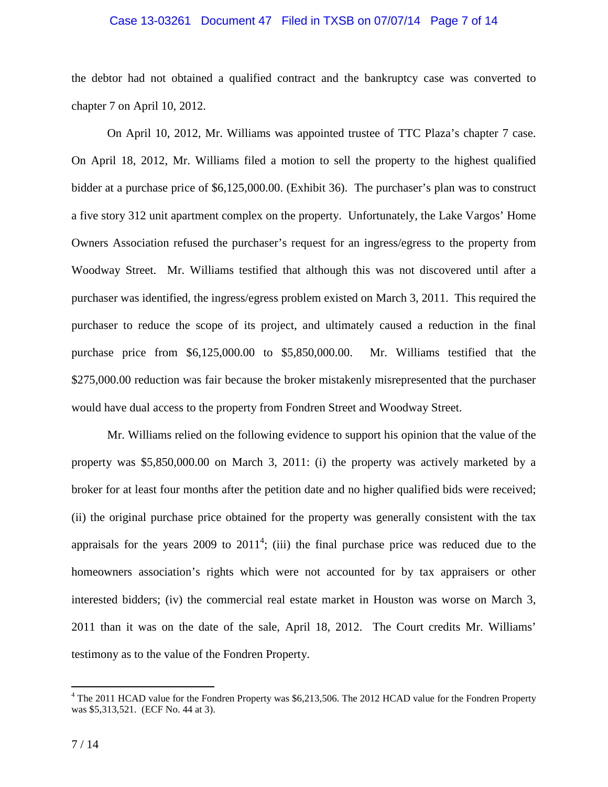## Case 13-03261 Document 47 Filed in TXSB on 07/07/14 Page 7 of 14

the debtor had not obtained a qualified contract and the bankruptcy case was converted to chapter 7 on April 10, 2012.

On April 10, 2012, Mr. Williams was appointed trustee of TTC Plaza's chapter 7 case. On April 18, 2012, Mr. Williams filed a motion to sell the property to the highest qualified bidder at a purchase price of \$6,125,000.00. (Exhibit 36). The purchaser's plan was to construct a five story 312 unit apartment complex on the property. Unfortunately, the Lake Vargos' Home Owners Association refused the purchaser's request for an ingress/egress to the property from Woodway Street. Mr. Williams testified that although this was not discovered until after a purchaser was identified, the ingress/egress problem existed on March 3, 2011. This required the purchaser to reduce the scope of its project, and ultimately caused a reduction in the final purchase price from \$6,125,000.00 to \$5,850,000.00. Mr. Williams testified that the \$275,000.00 reduction was fair because the broker mistakenly misrepresented that the purchaser would have dual access to the property from Fondren Street and Woodway Street.

Mr. Williams relied on the following evidence to support his opinion that the value of the property was \$5,850,000.00 on March 3, 2011: (i) the property was actively marketed by a broker for at least four months after the petition date and no higher qualified bids were received; (ii) the original purchase price obtained for the property was generally consistent with the tax appraisals for the years 2009 to  $2011^4$ ; (iii) the final purchase price was reduced due to the homeowners association's rights which were not accounted for by tax appraisers or other interested bidders; (iv) the commercial real estate market in Houston was worse on March 3, 2011 than it was on the date of the sale, April 18, 2012. The Court credits Mr. Williams' testimony as to the value of the Fondren Property.

The 2011 HCAD value for the Fondren Property was \$6,213,506. The 2012 HCAD value for the Fondren Property was \$5,313,521. (ECF No. 44 at 3).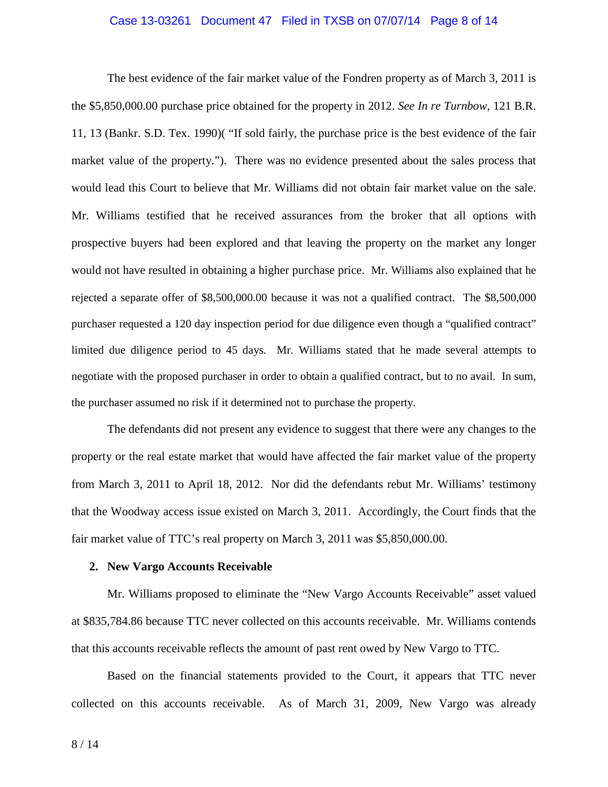## Case 13-03261 Document 47 Filed in TXSB on 07/07/14 Page 8 of 14

The best evidence of the fair market value of the Fondren property as of March 3, 2011 is the \$5,850,000.00 purchase price obtained for the property in 2012. *See In re Turnbow*, 121 B.R. 11, 13 (Bankr. S.D. Tex. 1990)( "If sold fairly, the purchase price is the best evidence of the fair market value of the property."). There was no evidence presented about the sales process that would lead this Court to believe that Mr. Williams did not obtain fair market value on the sale. Mr. Williams testified that he received assurances from the broker that all options with prospective buyers had been explored and that leaving the property on the market any longer would not have resulted in obtaining a higher purchase price. Mr. Williams also explained that he rejected a separate offer of \$8,500,000.00 because it was not a qualified contract. The \$8,500,000 purchaser requested a 120 day inspection period for due diligence even though a "qualified contract" limited due diligence period to 45 days. Mr. Williams stated that he made several attempts to negotiate with the proposed purchaser in order to obtain a qualified contract, but to no avail. In sum, the purchaser assumed no risk if it determined not to purchase the property.

The defendants did not present any evidence to suggest that there were any changes to the property or the real estate market that would have affected the fair market value of the property from March 3, 2011 to April 18, 2012. Nor did the defendants rebut Mr. Williams' testimony that the Woodway access issue existed on March 3, 2011. Accordingly, the Court finds that the fair market value of TTC's real property on March 3, 2011 was \$5,850,000.00.

#### **2. New Vargo Accounts Receivable**

Mr. Williams proposed to eliminate the "New Vargo Accounts Receivable" asset valued at \$835,784.86 because TTC never collected on this accounts receivable. Mr. Williams contends that this accounts receivable reflects the amount of past rent owed by New Vargo to TTC.

Based on the financial statements provided to the Court, it appears that TTC never collected on this accounts receivable. As of March 31, 2009, New Vargo was already

8 / 14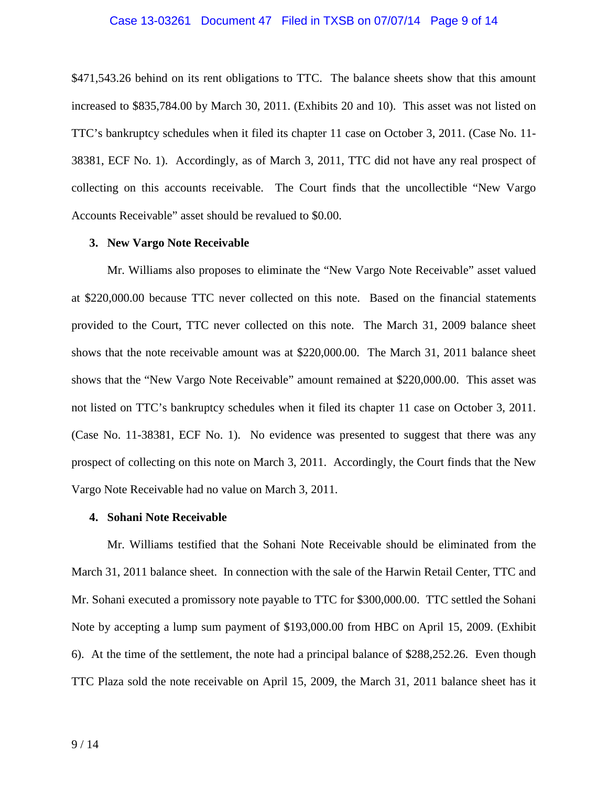## Case 13-03261 Document 47 Filed in TXSB on 07/07/14 Page 9 of 14

\$471,543.26 behind on its rent obligations to TTC. The balance sheets show that this amount increased to \$835,784.00 by March 30, 2011. (Exhibits 20 and 10). This asset was not listed on TTC's bankruptcy schedules when it filed its chapter 11 case on October 3, 2011. (Case No. 11- 38381, ECF No. 1). Accordingly, as of March 3, 2011, TTC did not have any real prospect of collecting on this accounts receivable. The Court finds that the uncollectible "New Vargo Accounts Receivable" asset should be revalued to \$0.00.

#### **3. New Vargo Note Receivable**

Mr. Williams also proposes to eliminate the "New Vargo Note Receivable" asset valued at \$220,000.00 because TTC never collected on this note. Based on the financial statements provided to the Court, TTC never collected on this note. The March 31, 2009 balance sheet shows that the note receivable amount was at \$220,000.00. The March 31, 2011 balance sheet shows that the "New Vargo Note Receivable" amount remained at \$220,000.00. This asset was not listed on TTC's bankruptcy schedules when it filed its chapter 11 case on October 3, 2011. (Case No. 11-38381, ECF No. 1). No evidence was presented to suggest that there was any prospect of collecting on this note on March 3, 2011. Accordingly, the Court finds that the New Vargo Note Receivable had no value on March 3, 2011.

#### **4. Sohani Note Receivable**

Mr. Williams testified that the Sohani Note Receivable should be eliminated from the March 31, 2011 balance sheet. In connection with the sale of the Harwin Retail Center, TTC and Mr. Sohani executed a promissory note payable to TTC for \$300,000.00. TTC settled the Sohani Note by accepting a lump sum payment of \$193,000.00 from HBC on April 15, 2009. (Exhibit 6). At the time of the settlement, the note had a principal balance of \$288,252.26. Even though TTC Plaza sold the note receivable on April 15, 2009, the March 31, 2011 balance sheet has it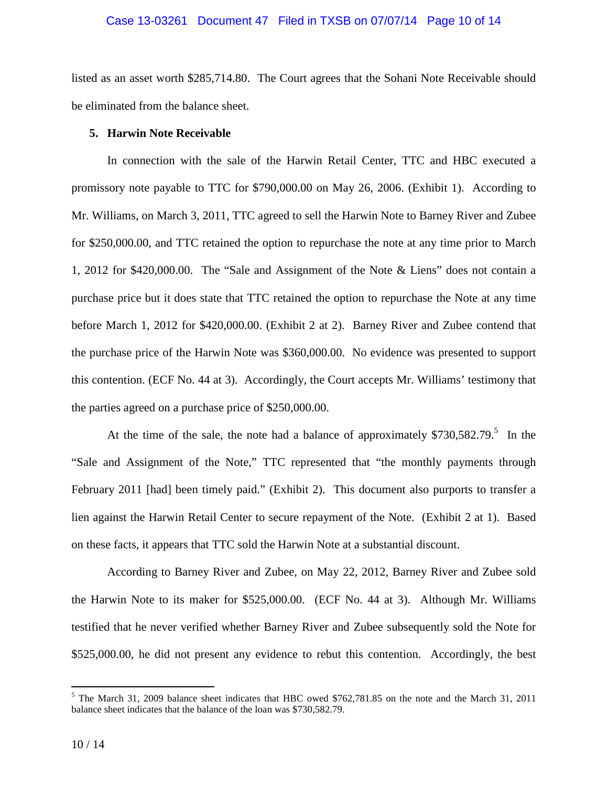## Case 13-03261 Document 47 Filed in TXSB on 07/07/14 Page 10 of 14

listed as an asset worth \$285,714.80. The Court agrees that the Sohani Note Receivable should be eliminated from the balance sheet.

## **5. Harwin Note Receivable**

In connection with the sale of the Harwin Retail Center, TTC and HBC executed a promissory note payable to TTC for \$790,000.00 on May 26, 2006. (Exhibit 1). According to Mr. Williams, on March 3, 2011, TTC agreed to sell the Harwin Note to Barney River and Zubee for \$250,000.00, and TTC retained the option to repurchase the note at any time prior to March 1, 2012 for \$420,000.00. The "Sale and Assignment of the Note & Liens" does not contain a purchase price but it does state that TTC retained the option to repurchase the Note at any time before March 1, 2012 for \$420,000.00. (Exhibit 2 at 2). Barney River and Zubee contend that the purchase price of the Harwin Note was \$360,000.00. No evidence was presented to support this contention. (ECF No. 44 at 3). Accordingly, the Court accepts Mr. Williams' testimony that the parties agreed on a purchase price of \$250,000.00.

At the time of the sale, the note had a balance of approximately  $$730,582.79$ <sup>5</sup> In the "Sale and Assignment of the Note," TTC represented that "the monthly payments through February 2011 [had] been timely paid." (Exhibit 2). This document also purports to transfer a lien against the Harwin Retail Center to secure repayment of the Note. (Exhibit 2 at 1). Based on these facts, it appears that TTC sold the Harwin Note at a substantial discount.

According to Barney River and Zubee, on May 22, 2012, Barney River and Zubee sold the Harwin Note to its maker for \$525,000.00. (ECF No. 44 at 3). Although Mr. Williams testified that he never verified whether Barney River and Zubee subsequently sold the Note for \$525,000.00, he did not present any evidence to rebut this contention. Accordingly, the best

<sup>&</sup>lt;sup>5</sup> The March 31, 2009 balance sheet indicates that HBC owed \$762,781.85 on the note and the March 31, 2011 balance sheet indicates that the balance of the loan was \$730,582.79.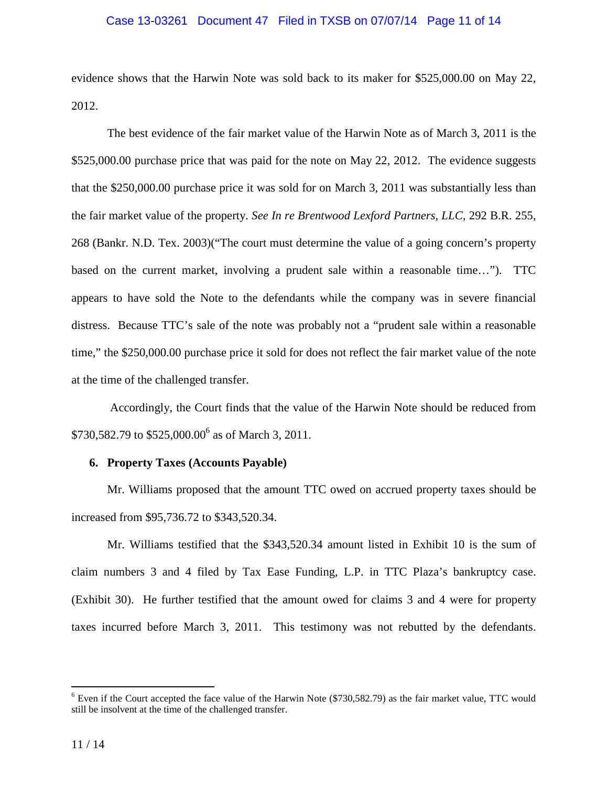## Case 13-03261 Document 47 Filed in TXSB on 07/07/14 Page 11 of 14

evidence shows that the Harwin Note was sold back to its maker for \$525,000.00 on May 22, 2012.

The best evidence of the fair market value of the Harwin Note as of March 3, 2011 is the \$525,000.00 purchase price that was paid for the note on May 22, 2012. The evidence suggests that the \$250,000.00 purchase price it was sold for on March 3, 2011 was substantially less than the fair market value of the property. *See In re Brentwood Lexford Partners, LLC*, 292 B.R. 255, 268 (Bankr. N.D. Tex. 2003)("The court must determine the value of a going concern's property based on the current market, involving a prudent sale within a reasonable time…"). TTC appears to have sold the Note to the defendants while the company was in severe financial distress. Because TTC's sale of the note was probably not a "prudent sale within a reasonable time," the \$250,000.00 purchase price it sold for does not reflect the fair market value of the note at the time of the challenged transfer.

 Accordingly, the Court finds that the value of the Harwin Note should be reduced from \$730,582.79 to  $$525,000.00^6$  as of March 3, 2011.

## **6. Property Taxes (Accounts Payable)**

Mr. Williams proposed that the amount TTC owed on accrued property taxes should be increased from \$95,736.72 to \$343,520.34.

Mr. Williams testified that the \$343,520.34 amount listed in Exhibit 10 is the sum of claim numbers 3 and 4 filed by Tax Ease Funding, L.P. in TTC Plaza's bankruptcy case. (Exhibit 30). He further testified that the amount owed for claims 3 and 4 were for property taxes incurred before March 3, 2011. This testimony was not rebutted by the defendants.

 $\overline{a}$ 

 $6$  Even if the Court accepted the face value of the Harwin Note (\$730,582.79) as the fair market value, TTC would still be insolvent at the time of the challenged transfer.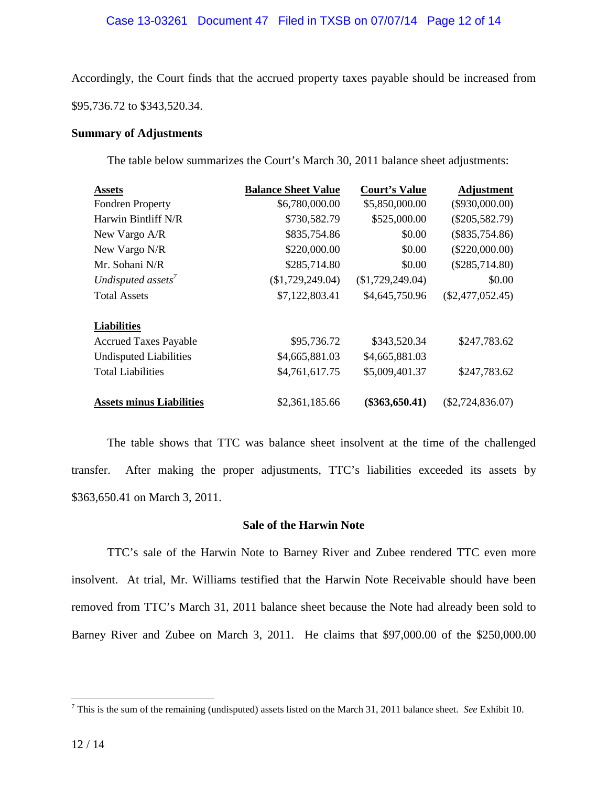# Case 13-03261 Document 47 Filed in TXSB on 07/07/14 Page 12 of 14

Accordingly, the Court finds that the accrued property taxes payable should be increased from \$95,736.72 to \$343,520.34.

## **Summary of Adjustments**

The table below summarizes the Court's March 30, 2011 balance sheet adjustments:

| <b>Assets</b>                   | <b>Balance Sheet Value</b> | <b>Court's Value</b> | <b>Adjustment</b>  |
|---------------------------------|----------------------------|----------------------|--------------------|
| <b>Fondren Property</b>         | \$6,780,000.00             | \$5,850,000.00       | $(\$930,000.00)$   |
| Harwin Bintliff N/R             | \$730,582.79               | \$525,000.00         | $(\$205,582.79)$   |
| New Vargo A/R                   | \$835,754.86               | \$0.00               | $(\$835,754.86)$   |
| New Vargo N/R                   | \$220,000.00               | \$0.00               | $(\$220,000.00)$   |
| Mr. Sohani N/R                  | \$285,714.80               | \$0.00               | $(\$285,714.80)$   |
| Undisputed assets               | (\$1,729,249.04)           | (\$1,729,249.04)     | \$0.00             |
| <b>Total Assets</b>             | \$7,122,803.41             | \$4,645,750.96       | $(\$2,477,052.45)$ |
| <b>Liabilities</b>              |                            |                      |                    |
| <b>Accrued Taxes Payable</b>    | \$95,736.72                | \$343,520.34         | \$247,783.62       |
| <b>Undisputed Liabilities</b>   | \$4,665,881.03             | \$4,665,881.03       |                    |
| <b>Total Liabilities</b>        | \$4,761,617.75             | \$5,009,401.37       | \$247,783.62       |
| <b>Assets minus Liabilities</b> | \$2,361,185.66             | $(\$363,650.41)$     | $(\$2,724,836.07)$ |

The table shows that TTC was balance sheet insolvent at the time of the challenged transfer. After making the proper adjustments, TTC's liabilities exceeded its assets by \$363,650.41 on March 3, 2011.

## **Sale of the Harwin Note**

TTC's sale of the Harwin Note to Barney River and Zubee rendered TTC even more insolvent. At trial, Mr. Williams testified that the Harwin Note Receivable should have been removed from TTC's March 31, 2011 balance sheet because the Note had already been sold to Barney River and Zubee on March 3, 2011. He claims that \$97,000.00 of the \$250,000.00

 $\overline{a}$ 

<sup>7</sup> This is the sum of the remaining (undisputed) assets listed on the March 31, 2011 balance sheet. *See* Exhibit 10.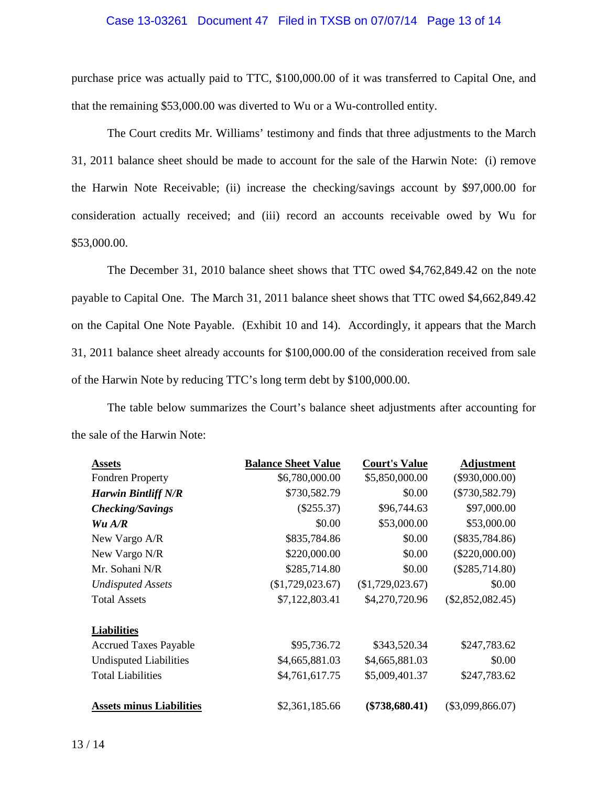## Case 13-03261 Document 47 Filed in TXSB on 07/07/14 Page 13 of 14

purchase price was actually paid to TTC, \$100,000.00 of it was transferred to Capital One, and that the remaining \$53,000.00 was diverted to Wu or a Wu-controlled entity.

The Court credits Mr. Williams' testimony and finds that three adjustments to the March 31, 2011 balance sheet should be made to account for the sale of the Harwin Note: (i) remove the Harwin Note Receivable; (ii) increase the checking/savings account by \$97,000.00 for consideration actually received; and (iii) record an accounts receivable owed by Wu for \$53,000.00.

The December 31, 2010 balance sheet shows that TTC owed \$4,762,849.42 on the note payable to Capital One. The March 31, 2011 balance sheet shows that TTC owed \$4,662,849.42 on the Capital One Note Payable. (Exhibit 10 and 14). Accordingly, it appears that the March 31, 2011 balance sheet already accounts for \$100,000.00 of the consideration received from sale of the Harwin Note by reducing TTC's long term debt by \$100,000.00.

The table below summarizes the Court's balance sheet adjustments after accounting for the sale of the Harwin Note:

| <b>Assets</b>                   | <b>Balance Sheet Value</b> | <b>Court's Value</b> | Adjustment         |
|---------------------------------|----------------------------|----------------------|--------------------|
| <b>Fondren Property</b>         | \$6,780,000.00             | \$5,850,000.00       | $(\$930,000.00)$   |
| <b>Harwin Bintliff N/R</b>      | \$730,582.79               | \$0.00               | $(\$730,582.79)$   |
| <b>Checking/Savings</b>         | $(\$255.37)$               | \$96,744.63          | \$97,000.00        |
| Wu A/R                          | \$0.00                     | \$53,000.00          | \$53,000.00        |
| New Vargo A/R                   | \$835,784.86               | \$0.00               | $(\$835,784.86)$   |
| New Vargo N/R                   | \$220,000.00               | \$0.00               | $(\$220,000.00)$   |
| Mr. Sohani N/R                  | \$285,714.80               | \$0.00               | $(\$285,714.80)$   |
| <b>Undisputed Assets</b>        | (\$1,729,023.67)           | (\$1,729,023.67)     | \$0.00             |
| <b>Total Assets</b>             | \$7,122,803.41             | \$4,270,720.96       | $(\$2,852,082.45)$ |
| <b>Liabilities</b>              |                            |                      |                    |
| <b>Accrued Taxes Payable</b>    | \$95,736.72                | \$343,520.34         | \$247,783.62       |
| <b>Undisputed Liabilities</b>   | \$4,665,881.03             | \$4,665,881.03       | \$0.00             |
| <b>Total Liabilities</b>        | \$4,761,617.75             | \$5,009,401.37       | \$247,783.62       |
| <b>Assets minus Liabilities</b> | \$2,361,185.66             | $(\$738,680.41)$     | $(\$3,099,866.07)$ |